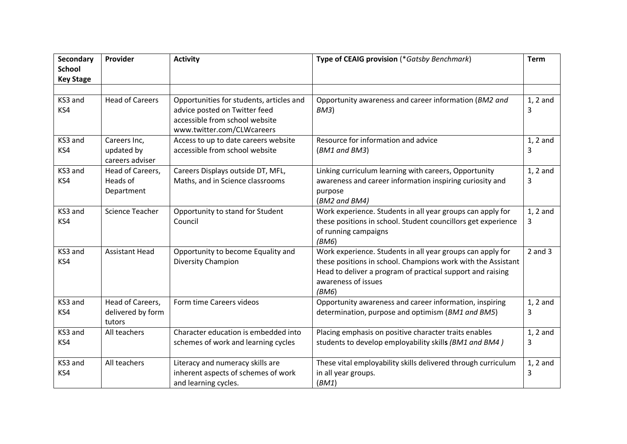| Secondary<br><b>School</b> | Provider                                        | <b>Activity</b>                                                                                                                           | Type of CEAIG provision (*Gatsby Benchmark)                                                                                                                                                                              | Term            |
|----------------------------|-------------------------------------------------|-------------------------------------------------------------------------------------------------------------------------------------------|--------------------------------------------------------------------------------------------------------------------------------------------------------------------------------------------------------------------------|-----------------|
| <b>Key Stage</b>           |                                                 |                                                                                                                                           |                                                                                                                                                                                                                          |                 |
| KS3 and<br>KS4             | <b>Head of Careers</b>                          | Opportunities for students, articles and<br>advice posted on Twitter feed<br>accessible from school website<br>www.twitter.com/CLWcareers | Opportunity awareness and career information (BM2 and<br>BM3)                                                                                                                                                            | $1, 2$ and<br>3 |
| KS3 and<br>KS4             | Careers Inc,<br>updated by<br>careers adviser   | Access to up to date careers website<br>accessible from school website                                                                    | Resource for information and advice<br>(BM1 and BM3)                                                                                                                                                                     | $1, 2$ and<br>3 |
| KS3 and<br>KS4             | Head of Careers,<br>Heads of<br>Department      | Careers Displays outside DT, MFL,<br>Maths, and in Science classrooms                                                                     | Linking curriculum learning with careers, Opportunity<br>awareness and career information inspiring curiosity and<br>purpose<br>(BM2 and BM4)                                                                            | $1, 2$ and<br>3 |
| KS3 and<br>KS4             | <b>Science Teacher</b>                          | Opportunity to stand for Student<br>Council                                                                                               | Work experience. Students in all year groups can apply for<br>these positions in school. Student councillors get experience<br>of running campaigns<br>(BM6)                                                             | $1, 2$ and<br>3 |
| KS3 and<br>KS4             | <b>Assistant Head</b>                           | Opportunity to become Equality and<br>Diversity Champion                                                                                  | Work experience. Students in all year groups can apply for<br>these positions in school. Champions work with the Assistant<br>Head to deliver a program of practical support and raising<br>awareness of issues<br>(BM6) | $2$ and $3$     |
| KS3 and<br>KS4             | Head of Careers,<br>delivered by form<br>tutors | Form time Careers videos                                                                                                                  | Opportunity awareness and career information, inspiring<br>determination, purpose and optimism (BM1 and BM5)                                                                                                             | $1, 2$ and<br>3 |
| KS3 and<br>KS4             | All teachers                                    | Character education is embedded into<br>schemes of work and learning cycles                                                               | Placing emphasis on positive character traits enables<br>students to develop employability skills (BM1 and BM4)                                                                                                          | $1, 2$ and<br>3 |
| KS3 and<br>KS4             | All teachers                                    | Literacy and numeracy skills are<br>inherent aspects of schemes of work<br>and learning cycles.                                           | These vital employability skills delivered through curriculum<br>in all year groups.<br>(BM1)                                                                                                                            | $1, 2$ and<br>3 |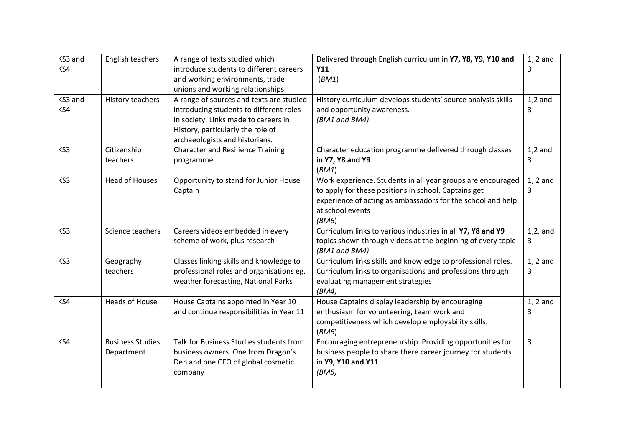| KS3 and | English teachers        | A range of texts studied which           | Delivered through English curriculum in Y7, Y8, Y9, Y10 and  | $1, 2$ and  |
|---------|-------------------------|------------------------------------------|--------------------------------------------------------------|-------------|
| KS4     |                         | introduce students to different careers  | Y11                                                          | 3           |
|         |                         | and working environments, trade          | (BM1)                                                        |             |
|         |                         | unions and working relationships         |                                                              |             |
| KS3 and | History teachers        | A range of sources and texts are studied | History curriculum develops students' source analysis skills | $1,2$ and   |
| KS4     |                         | introducing students to different roles  | and opportunity awareness.                                   | 3           |
|         |                         | in society. Links made to careers in     | (BM1 and BM4)                                                |             |
|         |                         | History, particularly the role of        |                                                              |             |
|         |                         | archaeologists and historians.           |                                                              |             |
| KS3     | Citizenship             | <b>Character and Resilience Training</b> | Character education programme delivered through classes      | $1,2$ and   |
|         | teachers                | programme                                | in Y7, Y8 and Y9                                             | 3           |
|         |                         |                                          | (BM1)                                                        |             |
| KS3     | <b>Head of Houses</b>   | Opportunity to stand for Junior House    | Work experience. Students in all year groups are encouraged  | $1, 2$ and  |
|         |                         | Captain                                  | to apply for these positions in school. Captains get         | 3           |
|         |                         |                                          | experience of acting as ambassadors for the school and help  |             |
|         |                         |                                          | at school events                                             |             |
|         |                         |                                          | (BM6)                                                        |             |
| KS3     | Science teachers        | Careers videos embedded in every         | Curriculum links to various industries in all Y7, Y8 and Y9  | $1,2$ , and |
|         |                         | scheme of work, plus research            | topics shown through videos at the beginning of every topic  | 3           |
|         |                         |                                          | (BM1 and BM4)                                                |             |
| KS3     | Geography               | Classes linking skills and knowledge to  | Curriculum links skills and knowledge to professional roles. | $1, 2$ and  |
|         | teachers                | professional roles and organisations eg. | Curriculum links to organisations and professions through    | 3           |
|         |                         | weather forecasting, National Parks      | evaluating management strategies                             |             |
|         |                         |                                          | (BM4)                                                        |             |
| KS4     | <b>Heads of House</b>   | House Captains appointed in Year 10      | House Captains display leadership by encouraging             | $1, 2$ and  |
|         |                         | and continue responsibilities in Year 11 | enthusiasm for volunteering, team work and                   | 3           |
|         |                         |                                          | competitiveness which develop employability skills.          |             |
|         |                         |                                          | (BM6)                                                        |             |
| KS4     | <b>Business Studies</b> | Talk for Business Studies students from  | Encouraging entrepreneurship. Providing opportunities for    | 3           |
|         | Department              | business owners. One from Dragon's       | business people to share there career journey for students   |             |
|         |                         | Den and one CEO of global cosmetic       | in Y9, Y10 and Y11                                           |             |
|         |                         | company                                  | (BM5)                                                        |             |
|         |                         |                                          |                                                              |             |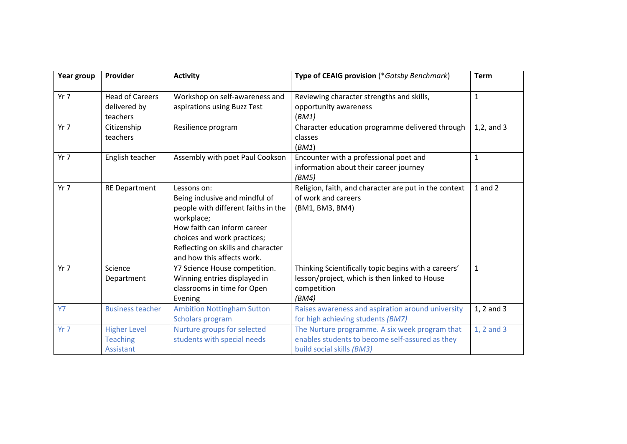| Year group | Provider                | <b>Activity</b>                     | Type of CEAIG provision (*Gatsby Benchmark)           | <b>Term</b>    |
|------------|-------------------------|-------------------------------------|-------------------------------------------------------|----------------|
|            |                         |                                     |                                                       |                |
| $Yr$ 7     | <b>Head of Careers</b>  | Workshop on self-awareness and      | Reviewing character strengths and skills,             | $\mathbf{1}$   |
|            | delivered by            | aspirations using Buzz Test         | opportunity awareness                                 |                |
|            | teachers                |                                     | (BM1)                                                 |                |
| Yr 7       | Citizenship             | Resilience program                  | Character education programme delivered through       | $1,2$ , and 3  |
|            | teachers                |                                     | classes                                               |                |
|            |                         |                                     | (BM1)                                                 |                |
| $Yr$ 7     | English teacher         | Assembly with poet Paul Cookson     | Encounter with a professional poet and                | $\mathbf{1}$   |
|            |                         |                                     | information about their career journey                |                |
|            |                         |                                     | (BM5)                                                 |                |
| Yr 7       | <b>RE Department</b>    | Lessons on:                         | Religion, faith, and character are put in the context | $1$ and $2$    |
|            |                         | Being inclusive and mindful of      | of work and careers                                   |                |
|            |                         | people with different faiths in the | (BM1, BM3, BM4)                                       |                |
|            |                         | workplace;                          |                                                       |                |
|            |                         | How faith can inform career         |                                                       |                |
|            |                         | choices and work practices;         |                                                       |                |
|            |                         | Reflecting on skills and character  |                                                       |                |
|            |                         | and how this affects work.          |                                                       |                |
| $Yr$ 7     | Science                 | Y7 Science House competition.       | Thinking Scientifically topic begins with a careers'  | $\mathbf{1}$   |
|            | Department              | Winning entries displayed in        | lesson/project, which is then linked to House         |                |
|            |                         | classrooms in time for Open         | competition                                           |                |
|            |                         | Evening                             | (BM4)                                                 |                |
| <b>Y7</b>  | <b>Business teacher</b> | <b>Ambition Nottingham Sutton</b>   | Raises awareness and aspiration around university     | $1, 2$ and $3$ |
|            |                         | Scholars program                    | for high achieving students (BM7)                     |                |
| Yr 7       | <b>Higher Level</b>     | Nurture groups for selected         | The Nurture programme. A six week program that        | 1, 2 and 3     |
|            | <b>Teaching</b>         | students with special needs         | enables students to become self-assured as they       |                |
|            | Assistant               |                                     | build social skills (BM3)                             |                |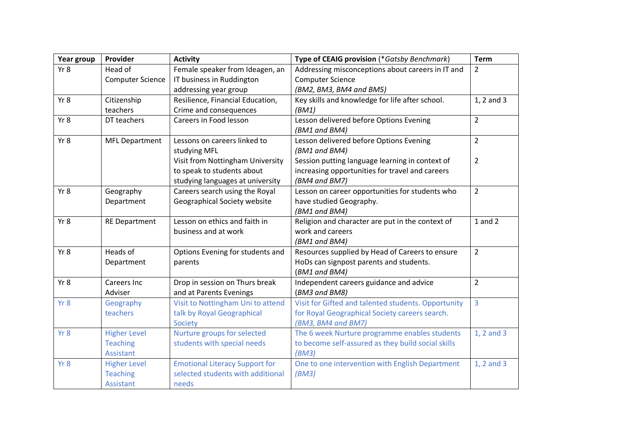| Year group | Provider                | <b>Activity</b>                       | Type of CEAIG provision (*Gatsby Benchmark)         | <b>Term</b>    |
|------------|-------------------------|---------------------------------------|-----------------------------------------------------|----------------|
| Yr8        | Head of                 | Female speaker from Ideagen, an       | Addressing misconceptions about careers in IT and   | $\overline{2}$ |
|            | <b>Computer Science</b> | IT business in Ruddington             | <b>Computer Science</b>                             |                |
|            |                         | addressing year group                 | (BM2, BM3, BM4 and BM5)                             |                |
| Yr 8       | Citizenship             | Resilience, Financial Education,      | Key skills and knowledge for life after school.     | 1, 2 and 3     |
|            | teachers                | Crime and consequences                | (BM1)                                               |                |
| Yr 8       | DT teachers             | Careers in Food lesson                | Lesson delivered before Options Evening             | $\overline{2}$ |
|            |                         |                                       | (BM1 and BM4)                                       |                |
| Yr 8       | <b>MFL Department</b>   | Lessons on careers linked to          | Lesson delivered before Options Evening             | $\overline{2}$ |
|            |                         | studying MFL                          | (BM1 and BM4)                                       |                |
|            |                         | Visit from Nottingham University      | Session putting language learning in context of     | $\overline{2}$ |
|            |                         | to speak to students about            | increasing opportunities for travel and careers     |                |
|            |                         | studying languages at university      | (BM4 and BM7)                                       |                |
| Yr 8       | Geography               | Careers search using the Royal        | Lesson on career opportunities for students who     | $\overline{2}$ |
|            | Department              | Geographical Society website          | have studied Geography.                             |                |
|            |                         |                                       | (BM1 and BM4)                                       |                |
| Yr 8       | <b>RE Department</b>    | Lesson on ethics and faith in         | Religion and character are put in the context of    | $1$ and $2$    |
|            |                         | business and at work                  | work and careers                                    |                |
|            |                         |                                       | (BM1 and BM4)                                       |                |
| Yr 8       | Heads of                | Options Evening for students and      | Resources supplied by Head of Careers to ensure     | $\overline{2}$ |
|            | Department              | parents                               | HoDs can signpost parents and students.             |                |
|            |                         |                                       | (BM1 and BM4)                                       |                |
| Yr 8       | Careers Inc             | Drop in session on Thurs break        | Independent careers guidance and advice             | $\overline{2}$ |
|            | Adviser                 | and at Parents Evenings               | (BM3 and BM8)                                       |                |
| Yr 8       | Geography               | Visit to Nottingham Uni to attend     | Visit for Gifted and talented students. Opportunity | $\overline{3}$ |
|            | teachers                | talk by Royal Geographical            | for Royal Geographical Society careers search.      |                |
|            |                         | Society                               | (BM3, BM4 and BM7)                                  |                |
| Yr 8       | <b>Higher Level</b>     | Nurture groups for selected           | The 6 week Nurture programme enables students       | 1, 2 and 3     |
|            | <b>Teaching</b>         | students with special needs           | to become self-assured as they build social skills  |                |
|            | Assistant               |                                       | (BM3)                                               |                |
| Yr 8       | <b>Higher Level</b>     | <b>Emotional Literacy Support for</b> | One to one intervention with English Department     | 1, 2 and 3     |
|            | <b>Teaching</b>         | selected students with additional     | (BM3)                                               |                |
|            | <b>Assistant</b>        | needs                                 |                                                     |                |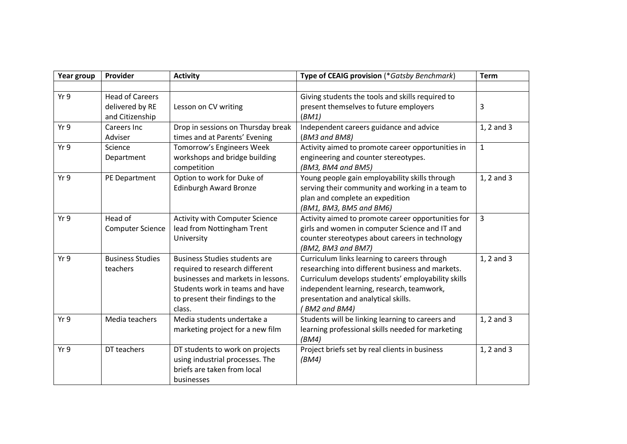| Year group | Provider                                                     | <b>Activity</b>                                                                                                                                                                               | Type of CEAIG provision (*Gatsby Benchmark)                                                                                                                                                                                                                | <b>Term</b>  |
|------------|--------------------------------------------------------------|-----------------------------------------------------------------------------------------------------------------------------------------------------------------------------------------------|------------------------------------------------------------------------------------------------------------------------------------------------------------------------------------------------------------------------------------------------------------|--------------|
|            |                                                              |                                                                                                                                                                                               |                                                                                                                                                                                                                                                            |              |
| Yr 9       | <b>Head of Careers</b><br>delivered by RE<br>and Citizenship | Lesson on CV writing                                                                                                                                                                          | Giving students the tools and skills required to<br>present themselves to future employers<br>(BM1)                                                                                                                                                        | 3            |
| Yr 9       | Careers Inc<br>Adviser                                       | Drop in sessions on Thursday break<br>times and at Parents' Evening                                                                                                                           | Independent careers guidance and advice<br>(BM3 and BM8)                                                                                                                                                                                                   | 1, 2 and 3   |
| Yr 9       | Science<br>Department                                        | Tomorrow's Engineers Week<br>workshops and bridge building<br>competition                                                                                                                     | Activity aimed to promote career opportunities in<br>engineering and counter stereotypes.<br>(BM3, BM4 and BM5)                                                                                                                                            | $\mathbf{1}$ |
| Yr9        | PE Department                                                | Option to work for Duke of<br><b>Edinburgh Award Bronze</b>                                                                                                                                   | Young people gain employability skills through<br>serving their community and working in a team to<br>plan and complete an expedition<br>(BM1, BM3, BM5 and BM6)                                                                                           | 1, 2 and 3   |
| Yr 9       | Head of<br><b>Computer Science</b>                           | <b>Activity with Computer Science</b><br>lead from Nottingham Trent<br>University                                                                                                             | Activity aimed to promote career opportunities for<br>girls and women in computer Science and IT and<br>counter stereotypes about careers in technology<br>(BM2, BM3 and BM7)                                                                              | 3            |
| Yr 9       | <b>Business Studies</b><br>teachers                          | <b>Business Studies students are</b><br>required to research different<br>businesses and markets in lessons.<br>Students work in teams and have<br>to present their findings to the<br>class. | Curriculum links learning to careers through<br>researching into different business and markets.<br>Curriculum develops students' employability skills<br>independent learning, research, teamwork,<br>presentation and analytical skills.<br>BM2 and BM4) | 1, 2 and 3   |
| Yr 9       | Media teachers                                               | Media students undertake a<br>marketing project for a new film                                                                                                                                | Students will be linking learning to careers and<br>learning professional skills needed for marketing<br>(BM4)                                                                                                                                             | 1, 2 and 3   |
| Yr 9       | DT teachers                                                  | DT students to work on projects<br>using industrial processes. The<br>briefs are taken from local<br>businesses                                                                               | Project briefs set by real clients in business<br>(BM4)                                                                                                                                                                                                    | 1, 2 and 3   |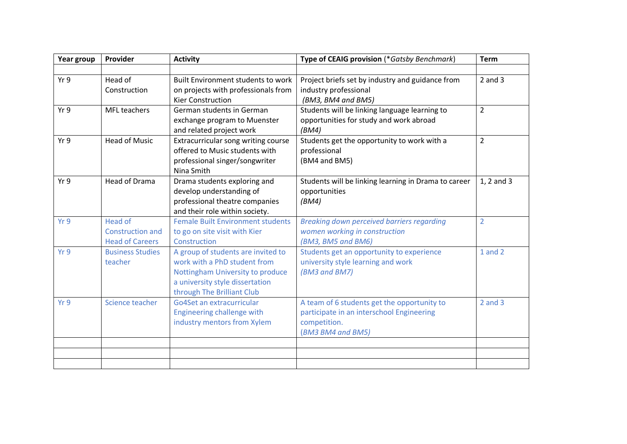| Year group | Provider                                                            | <b>Activity</b>                                                                                                                                                         | Type of CEAIG provision (*Gatsby Benchmark)                                                                                   | <b>Term</b>    |
|------------|---------------------------------------------------------------------|-------------------------------------------------------------------------------------------------------------------------------------------------------------------------|-------------------------------------------------------------------------------------------------------------------------------|----------------|
|            |                                                                     |                                                                                                                                                                         |                                                                                                                               |                |
| Yr 9       | Head of<br>Construction                                             | <b>Built Environment students to work</b><br>on projects with professionals from<br><b>Kier Construction</b>                                                            | Project briefs set by industry and guidance from<br>industry professional<br>(BM3, BM4 and BM5)                               | $2$ and $3$    |
| Yr 9       | MFL teachers                                                        | German students in German<br>exchange program to Muenster<br>and related project work                                                                                   | Students will be linking language learning to<br>opportunities for study and work abroad<br>(BM4)                             | $\overline{2}$ |
| Yr 9       | <b>Head of Music</b>                                                | Extracurricular song writing course<br>offered to Music students with<br>professional singer/songwriter<br>Nina Smith                                                   | Students get the opportunity to work with a<br>professional<br>(BM4 and BM5)                                                  | $\overline{2}$ |
| Yr9        | <b>Head of Drama</b>                                                | Drama students exploring and<br>develop understanding of<br>professional theatre companies<br>and their role within society.                                            | Students will be linking learning in Drama to career<br>opportunities<br>(BM4)                                                | 1, 2 and 3     |
| Yr 9       | <b>Head of</b><br><b>Construction and</b><br><b>Head of Careers</b> | <b>Female Built Environment students</b><br>to go on site visit with Kier<br>Construction                                                                               | Breaking down perceived barriers regarding<br>women working in construction<br>(BM3, BM5 and BM6)                             | $\overline{2}$ |
| Yr 9       | <b>Business Studies</b><br>teacher                                  | A group of students are invited to<br>work with a PhD student from<br>Nottingham University to produce<br>a university style dissertation<br>through The Brilliant Club | Students get an opportunity to experience<br>university style learning and work<br>(BM3 and BM7)                              | $1$ and $2$    |
| Yr 9       | Science teacher                                                     | Go4Set an extracurricular<br>Engineering challenge with<br>industry mentors from Xylem                                                                                  | A team of 6 students get the opportunity to<br>participate in an interschool Engineering<br>competition.<br>(BM3 BM4 and BM5) | $2$ and $3$    |
|            |                                                                     |                                                                                                                                                                         |                                                                                                                               |                |
|            |                                                                     |                                                                                                                                                                         |                                                                                                                               |                |
|            |                                                                     |                                                                                                                                                                         |                                                                                                                               |                |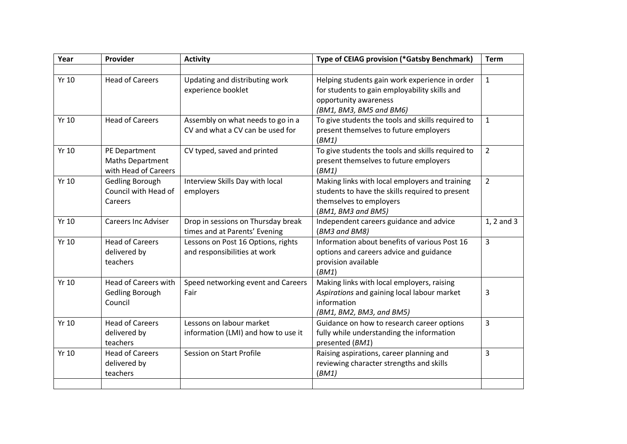| Year         | Provider                    | <b>Activity</b>                     | Type of CEIAG provision (*Gatsby Benchmark)       | <b>Term</b>    |
|--------------|-----------------------------|-------------------------------------|---------------------------------------------------|----------------|
|              |                             |                                     |                                                   |                |
| <b>Yr 10</b> | <b>Head of Careers</b>      | Updating and distributing work      | Helping students gain work experience in order    | $\mathbf{1}$   |
|              |                             | experience booklet                  | for students to gain employability skills and     |                |
|              |                             |                                     | opportunity awareness                             |                |
|              |                             |                                     | (BM1, BM3, BM5 and BM6)                           |                |
| Yr 10        | <b>Head of Careers</b>      | Assembly on what needs to go in a   | To give students the tools and skills required to | $\mathbf{1}$   |
|              |                             | CV and what a CV can be used for    | present themselves to future employers            |                |
|              |                             |                                     | (BM1)                                             |                |
| Yr 10        | PE Department               | CV typed, saved and printed         | To give students the tools and skills required to | $\overline{2}$ |
|              | <b>Maths Department</b>     |                                     | present themselves to future employers            |                |
|              | with Head of Careers        |                                     | (BM1)                                             |                |
| <b>Yr 10</b> | Gedling Borough             | Interview Skills Day with local     | Making links with local employers and training    | $\overline{2}$ |
|              | Council with Head of        | employers                           | students to have the skills required to present   |                |
|              | Careers                     |                                     | themselves to employers                           |                |
|              |                             |                                     | (BM1, BM3 and BM5)                                |                |
| <b>Yr 10</b> | <b>Careers Inc Adviser</b>  | Drop in sessions on Thursday break  | Independent careers guidance and advice           | 1, 2 and 3     |
|              |                             | times and at Parents' Evening       | (BM3 and BM8)                                     |                |
| Yr 10        | <b>Head of Careers</b>      | Lessons on Post 16 Options, rights  | Information about benefits of various Post 16     | 3              |
|              | delivered by                | and responsibilities at work        | options and careers advice and guidance           |                |
|              | teachers                    |                                     | provision available                               |                |
|              |                             |                                     | (BM1)                                             |                |
| <b>Yr 10</b> | <b>Head of Careers with</b> | Speed networking event and Careers  | Making links with local employers, raising        |                |
|              | Gedling Borough             | Fair                                | Aspirations and gaining local labour market       | 3              |
|              | Council                     |                                     | information                                       |                |
|              |                             |                                     | (BM1, BM2, BM3, and BM5)                          |                |
| Yr 10        | <b>Head of Careers</b>      | Lessons on labour market            | Guidance on how to research career options        | 3              |
|              | delivered by                | information (LMI) and how to use it | fully while understanding the information         |                |
|              | teachers                    |                                     | presented (BM1)                                   |                |
| Yr 10        | <b>Head of Careers</b>      | Session on Start Profile            | Raising aspirations, career planning and          | 3              |
|              | delivered by                |                                     | reviewing character strengths and skills          |                |
|              | teachers                    |                                     | (BM1)                                             |                |
|              |                             |                                     |                                                   |                |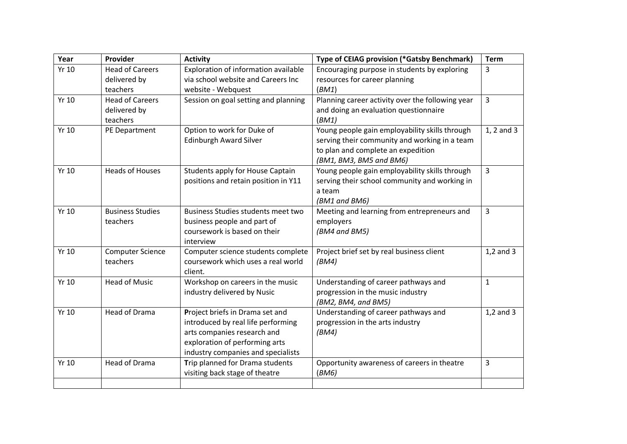| Year         | Provider                | <b>Activity</b>                      | Type of CEIAG provision (*Gatsby Benchmark)      | Term           |
|--------------|-------------------------|--------------------------------------|--------------------------------------------------|----------------|
| <b>Yr 10</b> | <b>Head of Careers</b>  | Exploration of information available | Encouraging purpose in students by exploring     | 3              |
|              | delivered by            | via school website and Careers Inc   | resources for career planning                    |                |
|              | teachers                | website - Webquest                   | (BM1)                                            |                |
| Yr 10        | <b>Head of Careers</b>  | Session on goal setting and planning | Planning career activity over the following year | 3              |
|              | delivered by            |                                      | and doing an evaluation questionnaire            |                |
|              | teachers                |                                      | (BM1)                                            |                |
| Yr 10        | PE Department           | Option to work for Duke of           | Young people gain employability skills through   | 1, 2 and 3     |
|              |                         | <b>Edinburgh Award Silver</b>        | serving their community and working in a team    |                |
|              |                         |                                      | to plan and complete an expedition               |                |
|              |                         |                                      | (BM1, BM3, BM5 and BM6)                          |                |
| Yr 10        | <b>Heads of Houses</b>  | Students apply for House Captain     | Young people gain employability skills through   | 3              |
|              |                         | positions and retain position in Y11 | serving their school community and working in    |                |
|              |                         |                                      | a team                                           |                |
|              |                         |                                      | (BM1 and BM6)                                    |                |
| Yr 10        | <b>Business Studies</b> | Business Studies students meet two   | Meeting and learning from entrepreneurs and      | 3              |
|              | teachers                | business people and part of          | employers                                        |                |
|              |                         | coursework is based on their         | (BM4 and BM5)                                    |                |
|              |                         | interview                            |                                                  |                |
| Yr 10        | <b>Computer Science</b> | Computer science students complete   | Project brief set by real business client        | $1,2$ and $3$  |
|              | teachers                | coursework which uses a real world   | (BM4)                                            |                |
|              |                         | client.                              |                                                  |                |
| Yr 10        | <b>Head of Music</b>    | Workshop on careers in the music     | Understanding of career pathways and             | $\mathbf{1}$   |
|              |                         | industry delivered by Nusic          | progression in the music industry                |                |
|              |                         |                                      | (BM2, BM4, and BM5)                              |                |
| Yr 10        | <b>Head of Drama</b>    | Project briefs in Drama set and      | Understanding of career pathways and             | $1,2$ and $3$  |
|              |                         | introduced by real life performing   | progression in the arts industry                 |                |
|              |                         | arts companies research and          | (BM4)                                            |                |
|              |                         | exploration of performing arts       |                                                  |                |
|              |                         | industry companies and specialists   |                                                  |                |
| Yr 10        | <b>Head of Drama</b>    | Trip planned for Drama students      | Opportunity awareness of careers in theatre      | $\overline{3}$ |
|              |                         | visiting back stage of theatre       | (BM6)                                            |                |
|              |                         |                                      |                                                  |                |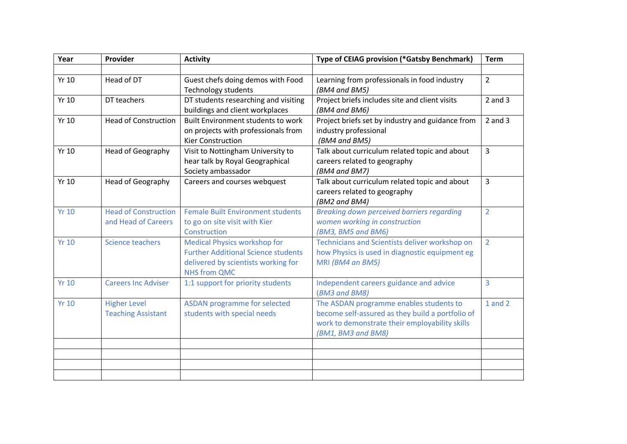| Year         | Provider                    | <b>Activity</b>                            | Type of CEIAG provision (*Gatsby Benchmark)       | <b>Term</b>    |
|--------------|-----------------------------|--------------------------------------------|---------------------------------------------------|----------------|
|              |                             |                                            |                                                   |                |
| Yr 10        | Head of DT                  | Guest chefs doing demos with Food          | Learning from professionals in food industry      | $\overline{2}$ |
|              |                             | <b>Technology students</b>                 | (BM4 and BM5)                                     |                |
| <b>Yr 10</b> | DT teachers                 | DT students researching and visiting       | Project briefs includes site and client visits    | $2$ and $3$    |
|              |                             | buildings and client workplaces            | (BM4 and BM6)                                     |                |
| <b>Yr 10</b> | <b>Head of Construction</b> | <b>Built Environment students to work</b>  | Project briefs set by industry and guidance from  | $2$ and $3$    |
|              |                             | on projects with professionals from        | industry professional                             |                |
|              |                             | <b>Kier Construction</b>                   | (BM4 and BM5)                                     |                |
| <b>Yr 10</b> | Head of Geography           | Visit to Nottingham University to          | Talk about curriculum related topic and about     | 3              |
|              |                             | hear talk by Royal Geographical            | careers related to geography                      |                |
|              |                             | Society ambassador                         | (BM4 and BM7)                                     |                |
| <b>Yr 10</b> | Head of Geography           | Careers and courses webquest               | Talk about curriculum related topic and about     | 3              |
|              |                             |                                            | careers related to geography                      |                |
|              |                             |                                            | (BM2 and BM4)                                     |                |
| <b>Yr 10</b> | <b>Head of Construction</b> | <b>Female Built Environment students</b>   | <b>Breaking down perceived barriers regarding</b> | $\overline{2}$ |
|              | and Head of Careers         | to go on site visit with Kier              | women working in construction                     |                |
|              |                             | Construction                               | (BM3, BM5 and BM6)                                |                |
| <b>Yr 10</b> | <b>Science teachers</b>     | <b>Medical Physics workshop for</b>        | Technicians and Scientists deliver workshop on    | $\overline{2}$ |
|              |                             | <b>Further Additional Science students</b> | how Physics is used in diagnostic equipment eg    |                |
|              |                             | delivered by scientists working for        | MRI (BM4 an BM5)                                  |                |
|              |                             | <b>NHS from QMC</b>                        |                                                   |                |
| <b>Yr 10</b> | <b>Careers Inc Adviser</b>  | 1:1 support for priority students          | Independent careers guidance and advice           | $\overline{3}$ |
|              |                             |                                            | (BM3 and BM8)                                     |                |
| <b>Yr 10</b> | <b>Higher Level</b>         | <b>ASDAN programme for selected</b>        | The ASDAN programme enables students to           | $1$ and $2$    |
|              | <b>Teaching Assistant</b>   | students with special needs                | become self-assured as they build a portfolio of  |                |
|              |                             |                                            | work to demonstrate their employability skills    |                |
|              |                             |                                            | (BM1, BM3 and BM8)                                |                |
|              |                             |                                            |                                                   |                |
|              |                             |                                            |                                                   |                |
|              |                             |                                            |                                                   |                |
|              |                             |                                            |                                                   |                |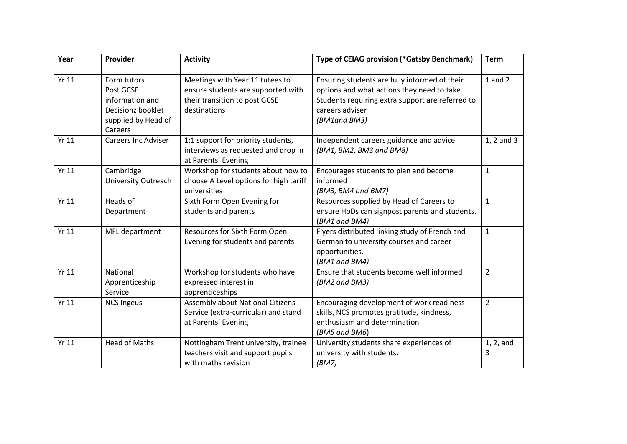| Year         | Provider                                                                                           | <b>Activity</b>                                                                                                        | <b>Type of CEIAG provision (*Gatsby Benchmark)</b>                                                                                                                                  | <b>Term</b>    |
|--------------|----------------------------------------------------------------------------------------------------|------------------------------------------------------------------------------------------------------------------------|-------------------------------------------------------------------------------------------------------------------------------------------------------------------------------------|----------------|
|              |                                                                                                    |                                                                                                                        |                                                                                                                                                                                     |                |
| <b>Yr 11</b> | Form tutors<br>Post GCSE<br>information and<br>Decisionz booklet<br>supplied by Head of<br>Careers | Meetings with Year 11 tutees to<br>ensure students are supported with<br>their transition to post GCSE<br>destinations | Ensuring students are fully informed of their<br>options and what actions they need to take.<br>Students requiring extra support are referred to<br>careers adviser<br>(BM1and BM3) | $1$ and $2$    |
| <b>Yr 11</b> | <b>Careers Inc Adviser</b>                                                                         | 1:1 support for priority students,<br>interviews as requested and drop in<br>at Parents' Evening                       | Independent careers guidance and advice<br>(BM1, BM2, BM3 and BM8)                                                                                                                  | 1, 2 and 3     |
| <b>Yr 11</b> | Cambridge<br><b>University Outreach</b>                                                            | Workshop for students about how to<br>choose A Level options for high tariff<br>universities                           | Encourages students to plan and become<br>informed<br>(BM3, BM4 and BM7)                                                                                                            | $\mathbf{1}$   |
| <b>Yr 11</b> | Heads of<br>Department                                                                             | Sixth Form Open Evening for<br>students and parents                                                                    | Resources supplied by Head of Careers to<br>ensure HoDs can signpost parents and students.<br>(BM1 and BM4)                                                                         | $\mathbf{1}$   |
| <b>Yr 11</b> | MFL department                                                                                     | Resources for Sixth Form Open<br>Evening for students and parents                                                      | Flyers distributed linking study of French and<br>German to university courses and career<br>opportunities.<br>(BM1 and BM4)                                                        | $\mathbf{1}$   |
| <b>Yr 11</b> | National<br>Apprenticeship<br>Service                                                              | Workshop for students who have<br>expressed interest in<br>apprenticeships                                             | Ensure that students become well informed<br>(BM2 and BM3)                                                                                                                          | $\overline{2}$ |
| <b>Yr 11</b> | <b>NCS Ingeus</b>                                                                                  | Assembly about National Citizens<br>Service (extra-curricular) and stand<br>at Parents' Evening                        | Encouraging development of work readiness<br>skills, NCS promotes gratitude, kindness,<br>enthusiasm and determination<br>(BM5 and BM6)                                             | $\overline{2}$ |
| <b>Yr 11</b> | <b>Head of Maths</b>                                                                               | Nottingham Trent university, trainee<br>teachers visit and support pupils<br>with maths revision                       | University students share experiences of<br>university with students.<br>(BM7)                                                                                                      | 1, 2, and<br>3 |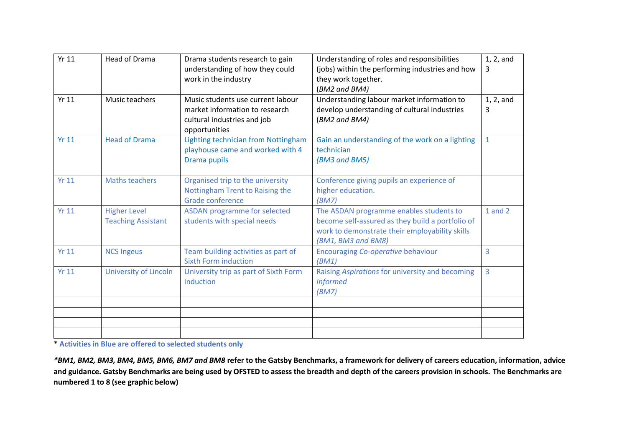| <b>Yr 11</b> | <b>Head of Drama</b>                             | Drama students research to gain<br>understanding of how they could<br>work in the industry                          | Understanding of roles and responsibilities<br>(jobs) within the performing industries and how<br>they work together.<br>(BM2 and BM4)                              | $1, 2,$ and<br>3 |
|--------------|--------------------------------------------------|---------------------------------------------------------------------------------------------------------------------|---------------------------------------------------------------------------------------------------------------------------------------------------------------------|------------------|
| <b>Yr 11</b> | Music teachers                                   | Music students use current labour<br>market information to research<br>cultural industries and job<br>opportunities | Understanding labour market information to<br>develop understanding of cultural industries<br>(BM2 and BM4)                                                         | 1, 2, and<br>3   |
| <b>Yr 11</b> | <b>Head of Drama</b>                             | Lighting technician from Nottingham<br>playhouse came and worked with 4<br>Drama pupils                             | Gain an understanding of the work on a lighting<br>technician<br>(BM3 and BM5)                                                                                      | $\mathbf{1}$     |
| <b>Yr 11</b> | Maths teachers                                   | Organised trip to the university<br>Nottingham Trent to Raising the<br>Grade conference                             | Conference giving pupils an experience of<br>higher education.<br>(BM7)                                                                                             |                  |
| Yr 11        | <b>Higher Level</b><br><b>Teaching Assistant</b> | <b>ASDAN programme for selected</b><br>students with special needs                                                  | The ASDAN programme enables students to<br>become self-assured as they build a portfolio of<br>work to demonstrate their employability skills<br>(BM1, BM3 and BM8) | 1 and 2          |
| <b>Yr 11</b> | <b>NCS Ingeus</b>                                | Team building activities as part of<br><b>Sixth Form induction</b>                                                  | Encouraging Co-operative behaviour<br>(BM1)                                                                                                                         | 3                |
| Yr11         | University of Lincoln                            | University trip as part of Sixth Form<br>induction                                                                  | Raising Aspirations for university and becoming<br><b>Informed</b><br>(BM7)                                                                                         | $\overline{3}$   |
|              |                                                  |                                                                                                                     |                                                                                                                                                                     |                  |
|              |                                                  |                                                                                                                     |                                                                                                                                                                     |                  |
|              |                                                  |                                                                                                                     |                                                                                                                                                                     |                  |

\* **Activities in Blue are offered to selected students only**

*\*BM1, BM2, BM3, BM4, BM5, BM6, BM7 and BM8* **refer to the Gatsby Benchmarks, a framework for delivery of careers education, information, advice and guidance. Gatsby Benchmarks are being used by OFSTED to assess the breadth and depth of the careers provision in schools. The Benchmarks are numbered 1 to 8 (see graphic below)**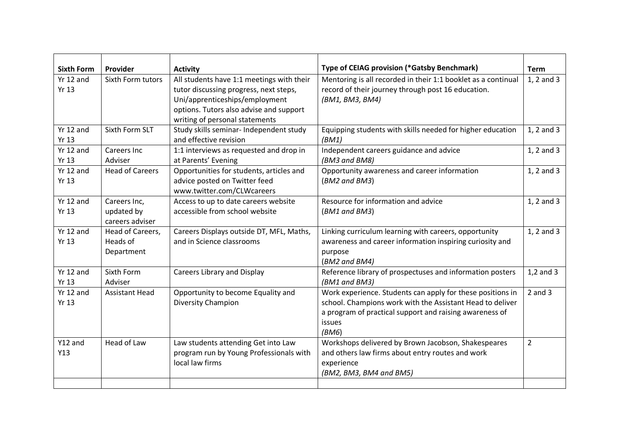| <b>Sixth Form</b>           | Provider                                      |                                                                                                                                                                                                                       | Type of CEIAG provision (*Gatsby Benchmark)                                                                                                                                                           | <b>Term</b>    |
|-----------------------------|-----------------------------------------------|-----------------------------------------------------------------------------------------------------------------------------------------------------------------------------------------------------------------------|-------------------------------------------------------------------------------------------------------------------------------------------------------------------------------------------------------|----------------|
| $Yr$ 12 and<br><b>Yr 13</b> | Sixth Form tutors                             | <b>Activity</b><br>All students have 1:1 meetings with their<br>tutor discussing progress, next steps,<br>Uni/apprenticeships/employment<br>options. Tutors also advise and support<br>writing of personal statements | Mentoring is all recorded in their 1:1 booklet as a continual<br>record of their journey through post 16 education.<br>(BM1, BM3, BM4)                                                                | 1, 2 and 3     |
| Yr 12 and<br><b>Yr 13</b>   | Sixth Form SLT                                | Study skills seminar- Independent study<br>and effective revision                                                                                                                                                     | Equipping students with skills needed for higher education<br>(BM1)                                                                                                                                   | 1, 2 and 3     |
| $Yr$ 12 and<br><b>Yr 13</b> | Careers Inc<br>Adviser                        | 1:1 interviews as requested and drop in<br>at Parents' Evening                                                                                                                                                        | Independent careers guidance and advice<br>(BM3 and BM8)                                                                                                                                              | 1, 2 and 3     |
| Yr 12 and<br><b>Yr 13</b>   | <b>Head of Careers</b>                        | Opportunities for students, articles and<br>advice posted on Twitter feed<br>www.twitter.com/CLWcareers                                                                                                               | Opportunity awareness and career information<br>(BM2 and BM3)                                                                                                                                         | 1, 2 and 3     |
| Yr 12 and<br><b>Yr 13</b>   | Careers Inc,<br>updated by<br>careers adviser | Access to up to date careers website<br>accessible from school website                                                                                                                                                | Resource for information and advice<br>(BM1 and BM3)                                                                                                                                                  | 1, 2 and 3     |
| $Yr$ 12 and<br><b>Yr 13</b> | Head of Careers,<br>Heads of<br>Department    | Careers Displays outside DT, MFL, Maths,<br>and in Science classrooms                                                                                                                                                 | Linking curriculum learning with careers, opportunity<br>awareness and career information inspiring curiosity and<br>purpose<br>(BM2 and BM4)                                                         | 1, 2 and 3     |
| Yr 12 and<br><b>Yr 13</b>   | Sixth Form<br>Adviser                         | <b>Careers Library and Display</b>                                                                                                                                                                                    | Reference library of prospectuses and information posters<br>(BM1 and BM3)                                                                                                                            | $1,2$ and $3$  |
| Yr 12 and<br><b>Yr 13</b>   | <b>Assistant Head</b>                         | Opportunity to become Equality and<br>Diversity Champion                                                                                                                                                              | Work experience. Students can apply for these positions in<br>school. Champions work with the Assistant Head to deliver<br>a program of practical support and raising awareness of<br>issues<br>(BM6) | $2$ and $3$    |
| Y12 and<br>Y13              | Head of Law                                   | Law students attending Get into Law<br>program run by Young Professionals with<br>local law firms                                                                                                                     | Workshops delivered by Brown Jacobson, Shakespeares<br>and others law firms about entry routes and work<br>experience<br>(BM2, BM3, BM4 and BM5)                                                      | $\overline{2}$ |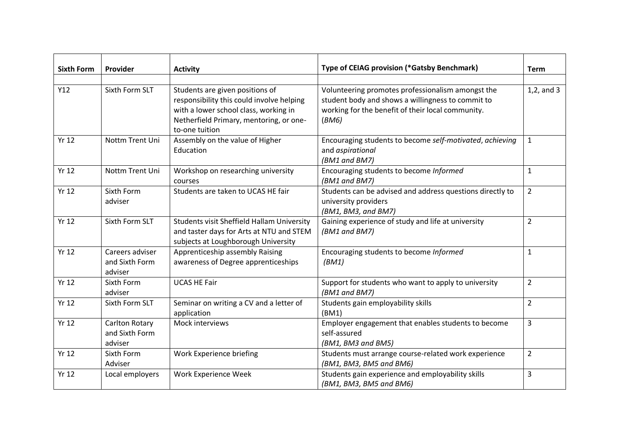| <b>Sixth Form</b> | Provider                                     | <b>Activity</b>                                                                                                                                                                    | Type of CEIAG provision (*Gatsby Benchmark)                                                                                                                          | <b>Term</b>    |
|-------------------|----------------------------------------------|------------------------------------------------------------------------------------------------------------------------------------------------------------------------------------|----------------------------------------------------------------------------------------------------------------------------------------------------------------------|----------------|
| Y12               | Sixth Form SLT                               | Students are given positions of<br>responsibility this could involve helping<br>with a lower school class, working in<br>Netherfield Primary, mentoring, or one-<br>to-one tuition | Volunteering promotes professionalism amongst the<br>student body and shows a willingness to commit to<br>working for the benefit of their local community.<br>(BM6) | $1,2$ , and 3  |
| <b>Yr 12</b>      | Nottm Trent Uni                              | Assembly on the value of Higher<br>Education                                                                                                                                       | Encouraging students to become self-motivated, achieving<br>and aspirational<br>(BM1 and BM7)                                                                        | $\mathbf{1}$   |
| <b>Yr 12</b>      | Nottm Trent Uni                              | Workshop on researching university<br>courses                                                                                                                                      | Encouraging students to become Informed<br>(BM1 and BM7)                                                                                                             | $\mathbf{1}$   |
| <b>Yr 12</b>      | Sixth Form<br>adviser                        | Students are taken to UCAS HE fair                                                                                                                                                 | Students can be advised and address questions directly to<br>university providers<br>(BM1, BM3, and BM7)                                                             | $\overline{2}$ |
| <b>Yr 12</b>      | Sixth Form SLT                               | Students visit Sheffield Hallam University<br>and taster days for Arts at NTU and STEM<br>subjects at Loughborough University                                                      | Gaining experience of study and life at university<br>(BM1 and BM7)                                                                                                  | $\overline{2}$ |
| <b>Yr 12</b>      | Careers adviser<br>and Sixth Form<br>adviser | Apprenticeship assembly Raising<br>awareness of Degree apprenticeships                                                                                                             | Encouraging students to become Informed<br>(BM1)                                                                                                                     | $\mathbf{1}$   |
| <b>Yr 12</b>      | Sixth Form<br>adviser                        | <b>UCAS HE Fair</b>                                                                                                                                                                | Support for students who want to apply to university<br>(BM1 and BM7)                                                                                                | $\overline{2}$ |
| <b>Yr 12</b>      | Sixth Form SLT                               | Seminar on writing a CV and a letter of<br>application                                                                                                                             | Students gain employability skills<br>(BM1)                                                                                                                          | $\overline{2}$ |
| <b>Yr 12</b>      | Carlton Rotary<br>and Sixth Form<br>adviser  | Mock interviews                                                                                                                                                                    | Employer engagement that enables students to become<br>self-assured<br>(BM1, BM3 and BM5)                                                                            | $\overline{3}$ |
| <b>Yr 12</b>      | Sixth Form<br>Adviser                        | Work Experience briefing                                                                                                                                                           | Students must arrange course-related work experience<br>(BM1, BM3, BM5 and BM6)                                                                                      | $\overline{2}$ |
| <b>Yr 12</b>      | Local employers                              | Work Experience Week                                                                                                                                                               | Students gain experience and employability skills<br>(BM1, BM3, BM5 and BM6)                                                                                         | 3              |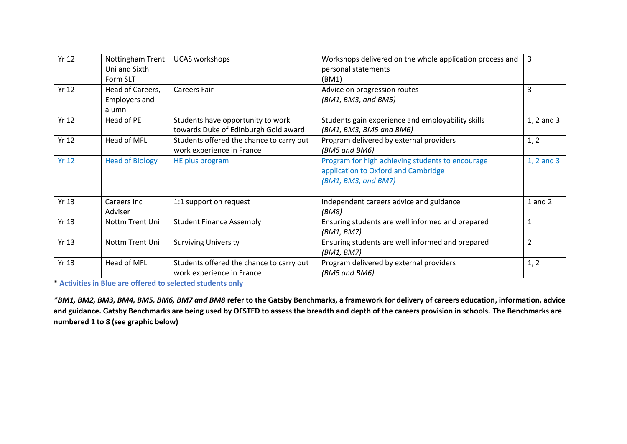| <b>Yr 12</b> | Nottingham Trent       | <b>UCAS</b> workshops                    | Workshops delivered on the whole application process and | 3              |
|--------------|------------------------|------------------------------------------|----------------------------------------------------------|----------------|
|              | Uni and Sixth          |                                          | personal statements                                      |                |
|              | Form SLT               |                                          | (BM1)                                                    |                |
| <b>Yr 12</b> | Head of Careers,       | <b>Careers Fair</b>                      | Advice on progression routes                             | 3              |
|              | <b>Employers and</b>   |                                          | (BM1, BM3, and BM5)                                      |                |
|              | alumni                 |                                          |                                                          |                |
| <b>Yr 12</b> | Head of PE             | Students have opportunity to work        | Students gain experience and employability skills        | 1, 2 and 3     |
|              |                        | towards Duke of Edinburgh Gold award     | (BM1, BM3, BM5 and BM6)                                  |                |
| <b>Yr 12</b> | Head of MFL            | Students offered the chance to carry out | Program delivered by external providers                  | 1, 2           |
|              |                        | work experience in France                | (BM5 and BM6)                                            |                |
| <b>Yr 12</b> | <b>Head of Biology</b> | HE plus program                          | Program for high achieving students to encourage         | $1, 2$ and $3$ |
|              |                        |                                          | application to Oxford and Cambridge                      |                |
|              |                        |                                          | (BM1, BM3, and BM7)                                      |                |
|              |                        |                                          |                                                          |                |
| <b>Yr 13</b> | Careers Inc            | 1:1 support on request                   | Independent careers advice and guidance                  | $1$ and $2$    |
|              | Adviser                |                                          | (BM8)                                                    |                |
| <b>Yr 13</b> | Nottm Trent Uni        | <b>Student Finance Assembly</b>          | Ensuring students are well informed and prepared         | $\mathbf{1}$   |
|              |                        |                                          | (BM1, BM7)                                               |                |
| <b>Yr 13</b> | Nottm Trent Uni        | <b>Surviving University</b>              | Ensuring students are well informed and prepared         | $\overline{2}$ |
|              |                        |                                          | (BM1, BM7)                                               |                |
| <b>Yr 13</b> | Head of MFL            | Students offered the chance to carry out | Program delivered by external providers                  | 1, 2           |
|              |                        | work experience in France                | (BM5 and BM6)                                            |                |

\* **Activities in Blue are offered to selected students only**

*\*BM1, BM2, BM3, BM4, BM5, BM6, BM7 and BM8* **refer to the Gatsby Benchmarks, a framework for delivery of careers education, information, advice and guidance. Gatsby Benchmarks are being used by OFSTED to assess the breadth and depth of the careers provision in schools. The Benchmarks are numbered 1 to 8 (see graphic below)**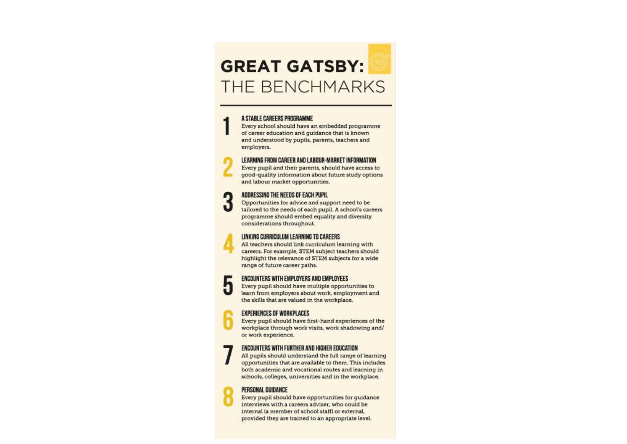# **GREAT GATSBY:** THE BENCHMARKS

#### A STABLE CAREERS PROGRAMME

Every school should have an embedded programme of career education and guidance that is known and understood by pupils, parents, teachers and employers.

## LEARNING FROM CAREER AND LABOUR-MARKET INFORMATION

Every pupil and their parents, should have access to good-quality information about future study options and labour market opportunities.

# ADDRESSING THE NEEDS OF EACH PUPIL

ŋ

п

Opportunities for advice and support need to be tailored to the needs of each pupil. A school's careers programme should embed equality and diversity considerations throughout.

#### LINKING CURRICULUM LEARNING TO CAREERS

All teachers should link curriculum learning with careers. For example, STEM subject teachers should highlight the relevance of STEM subjects for a wide range of future career paths.

## **ENCOUNTERS WITH EMPLOYERS AND EMPLOYEES**

Every pupil should have multiple opportunities to learn from employers about work, employment and the skills that are valued in the workplace.

#### **EXPERIENCES OF WORKPLACES**

Every pupil should have first-hand experiences of the workplace through work visits, work shadowing and/ or work experience.

#### **ENCOUNTERS WITH FURTHER AND HIGHER EDUCATION**

All pupils should understand the full range of learning opportunities that are available to them. This includes both academic and vocational routes and learning in schools, colleges, universities and in the workplace.

#### PERSONAL GUIDANCE

Every pupil should have opportunities for quidance interviews with a careers adviser, who could be internal (a member of school staff) or external, provided they are trained to an appropriate level.